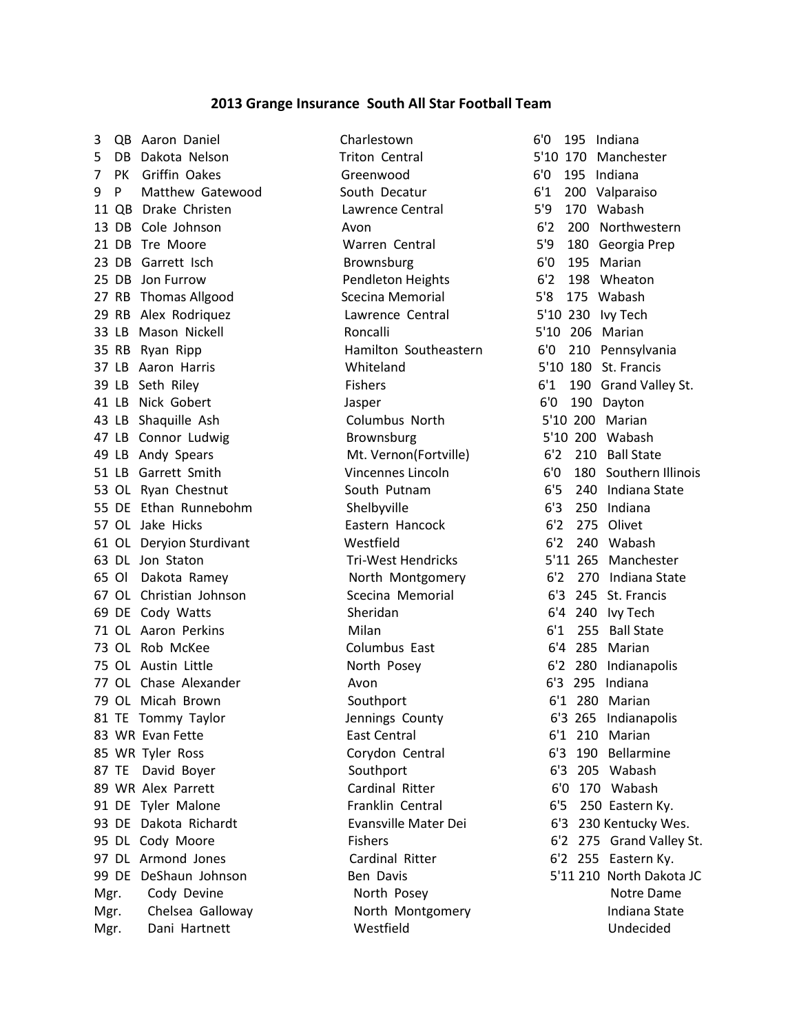## **2013 Grange Insurance South All Star Football Team**

| 3       | QB Aaron Daniel          | Charlestown               | 6'0<br>195 Indiana              |
|---------|--------------------------|---------------------------|---------------------------------|
| 5       | DB Dakota Nelson         | <b>Triton Central</b>     | 5'10 170<br>Manchester          |
| 7<br>PK | Griffin Oakes            | Greenwood                 | 6'0<br>195<br>Indiana           |
| 9<br>P  | Matthew Gatewood         | South Decatur             | 6'1<br>200 Valparaiso           |
|         | 11 QB Drake Christen     | Lawrence Central          | 5'9<br>170 Wabash               |
|         | 13 DB Cole Johnson       | Avon                      | 6'2<br>Northwestern<br>200      |
|         | 21 DB Tre Moore          | Warren Central            | 5'9<br>180 Georgia Prep         |
|         | 23 DB Garrett Isch       | Brownsburg                | 6'0<br>195<br>Marian            |
|         | 25 DB Jon Furrow         | Pendleton Heights         | 6'2<br>198 Wheaton              |
|         | 27 RB Thomas Allgood     | Scecina Memorial          | 5'8<br>175 Wabash               |
|         | 29 RB Alex Rodriquez     | Lawrence Central          | 5'10 230<br>Ivy Tech            |
| 33 LB   | Mason Nickell            | Roncalli                  | 5'10 206 Marian                 |
|         | 35 RB Ryan Ripp          | Hamilton Southeastern     | 6'0<br>210 Pennsylvania         |
|         | 37 LB Aaron Harris       | Whiteland                 | 5'10 180 St. Francis            |
|         | 39 LB Seth Riley         | <b>Fishers</b>            | 6'1<br>190 Grand Valley St.     |
|         | 41 LB Nick Gobert        | Jasper                    | 6'0<br>190 Dayton               |
|         | 43 LB Shaquille Ash      | Columbus North            | 5'10 200 Marian                 |
|         | 47 LB Connor Ludwig      | Brownsburg                | 5'10 200 Wabash                 |
|         | 49 LB Andy Spears        | Mt. Vernon(Fortville)     | 6'2<br>210 Ball State           |
|         | 51 LB Garrett Smith      | Vincennes Lincoln         | 6'0<br>Southern Illinois<br>180 |
|         | 53 OL Ryan Chestnut      | South Putnam              | 6'5<br>240 Indiana State        |
|         | 55 DE Ethan Runnebohm    | Shelbyville               | 6'3<br>250 Indiana              |
|         | 57 OL Jake Hicks         | Eastern Hancock           | 6'2<br>275 Olivet               |
|         | 61 OL Deryion Sturdivant | Westfield                 | 6'2<br>240 Wabash               |
|         | 63 DL Jon Staton         | <b>Tri-West Hendricks</b> | 5'11 265 Manchester             |
|         | 65 Ol Dakota Ramey       | North Montgomery          | 6'2<br>270 Indiana State        |
|         | 67 OL Christian Johnson  | Scecina Memorial          | 6'3<br>245 St. Francis          |
|         | 69 DE Cody Watts         | Sheridan                  | 6'4 240 Ivy Tech                |
|         | 71 OL Aaron Perkins      | Milan                     | 6'1<br>255 Ball State           |
|         | 73 OL Rob McKee          | Columbus East             | 285<br>6'4<br>Marian            |
|         | 75 OL Austin Little      | North Posey               | 6'2 280 Indianapolis            |
|         | 77 OL Chase Alexander    | Avon                      | 6'3<br>295<br>Indiana           |
|         | 79 OL Micah Brown        | Southport                 | 6'1 280 Marian                  |
|         | 81 TE Tommy Taylor       | Jennings County           | 6'3 265 Indianapolis            |
|         | 83 WR Evan Fette         | East Central              | 6'1 210 Marian                  |
|         | 85 WR Tyler Ross         | Corydon Central           | 6'3 190 Bellarmine              |
|         | 87 TE David Boyer        | Southport                 | 6'3<br>205 Wabash               |
|         | 89 WR Alex Parrett       | Cardinal Ritter           | 6'0 170 Wabash                  |
|         | 91 DE Tyler Malone       | Franklin Central          | 6'5<br>250 Eastern Ky.          |
|         | 93 DE Dakota Richardt    | Evansville Mater Dei      | 6'3 230 Kentucky Wes.           |
|         | 95 DL Cody Moore         | <b>Fishers</b>            | 6'2 275 Grand Valley St.        |
|         | 97 DL Armond Jones       | Cardinal Ritter           | 6'2 255 Eastern Ky.             |
|         | 99 DE DeShaun Johnson    | Ben Davis                 | 5'11 210 North Dakota JC        |
| Mgr.    | Cody Devine              | North Posey               | Notre Dame                      |
| Mgr.    | Chelsea Galloway         | North Montgomery          | Indiana State                   |
| Mgr.    | Dani Hartnett            | Westfield                 | Undecided                       |

| Charlestown               | 6'0<br>195 Indiana             |
|---------------------------|--------------------------------|
| <b>Triton Central</b>     | 5'10 170 Manchester            |
| Greenwood                 | 6'0<br>195 Indiana             |
| South Decatur             | 6'1<br>200 Valparaiso          |
| Lawrence Central          | 5'9<br>170 Wabash              |
| Avon                      | 6'2<br>200 Northwestern        |
| Warren Central            | 5'9<br>180 Georgia Prep        |
| Brownsburg                | 6'0<br>195 Marian              |
| Pendleton Heights         | 6'2 198 Wheaton                |
| Scecina Memorial          | 5'8<br>175 Wabash              |
| Lawrence Central          | 5'10 230 Ivy Tech              |
| Roncalli                  | 5'10 206 Marian                |
| Hamilton Southeastern     | 6'0 210 Pennsylvania           |
| Whiteland                 | 5'10 180 St. Francis           |
| <b>Fishers</b>            | 6'1<br>190<br>Grand Valley St. |
| Jasper                    | 6'0<br>190 Dayton              |
| Columbus North            | 5'10 200 Marian                |
| Brownsburg                | 5'10 200 Wabash                |
| Mt. Vernon(Fortville)     | 6'2<br>210 Ball State          |
| Vincennes Lincoln         | 6'0 180 Southern Illinois      |
| South Putnam              | 6'5 240 Indiana State          |
| Shelbyville               | 6'3 250 Indiana                |
| Eastern Hancock           | 6'2 275 Olivet                 |
| Westfield                 | 6'2 240 Wabash                 |
| <b>Tri-West Hendricks</b> | 5'11 265 Manchester            |
| North Montgomery          | 6'2 270 Indiana State          |
| Scecina Memorial          | 6'3 245 St. Francis            |
| Sheridan                  | 6'4 240 Ivy Tech               |
| Milan                     | 6'1 255 Ball State             |
| Columbus East             | 6'4 285 Marian                 |
| North Posey               | 6'2 280 Indianapolis           |
| Avon                      | 6'3 295 Indiana                |
| Southport                 | 6'1 280 Marian                 |
| Jennings County           | 6'3 265 Indianapolis           |
| <b>East Central</b>       | 6'1<br>210 Marian              |
| Corydon Central           | 6'3<br>190 Bellarmine          |
| Southport                 | 6'3<br>205 Wabash              |
| Cardinal Ritter           | 6'0<br>170 Wabash              |
| Franklin Central          | 6'5 250 Eastern Ky.            |
| Evansville Mater Dei      | 6'3 230 Kentucky Wes.          |
| <b>Fishers</b>            | 6'2 275 Grand Valley St.       |
| Cardinal Ritter           | 6'2 255 Eastern Ky.            |
| Ben Davis                 | 5'11 210 North Dakota JC       |
| North Posey               | Notre Dame                     |
| North Montgomery          | Indiana State                  |
| Westfield                 | Undecided                      |